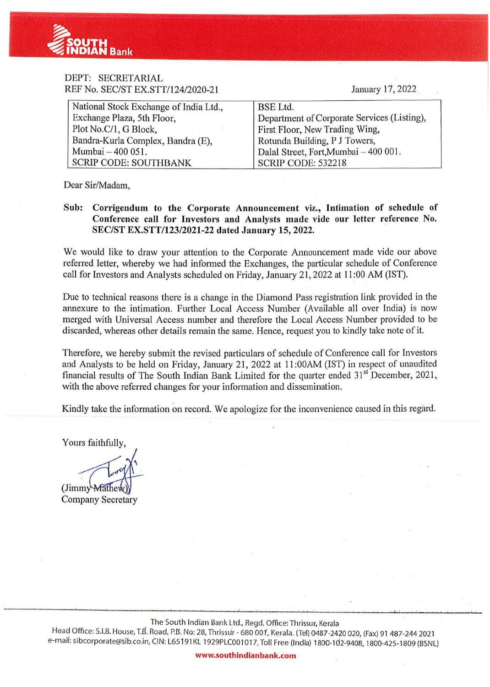

| DEPT: SECRETARIAL<br>REF No. SEC/ST EX.STT/124/2020-21 |                 | Janua |  |
|--------------------------------------------------------|-----------------|-------|--|
| National Stock Exchange of India Ltd.,                 | <b>BSE</b> Ltd. |       |  |

ary 17, 2022

| National Stock Exchange of India Ltd., | BSE Ltd.                                    |
|----------------------------------------|---------------------------------------------|
| Exchange Plaza, 5th Floor,             | Department of Corporate Services (Listing), |
| Plot No.C/1, G Block,                  | First Floor, New Trading Wing,              |
| Bandra-Kurla Complex, Bandra (E),      | Rotunda Building, P J Towers,               |
| Mumbai - 400 051.                      | Dalal Street, Fort, Mumbai - 400 001.       |
| SCRIP CODE: SOUTHBANK                  | <b>SCRIP CODE: 532218</b>                   |

Dear Sir/Madam,

Sub: Corrigendum to the Corporate Announcement viz., Intimation of schedule of Conference call for Investors and Analysts made vide our letter reference No. SEC/ST EX.STT/123/2021-22 dated January 15,2022.

We would like to draw your attention to the Corporate Announcement made vide our above referred letter, whereby we had informed the Exchanges, the particular schedule of Conference call for Investors and Analysts scheduled on Friday, January 21, 2022 at 11:00 AM (IST).

Due to technical reasons there is a change in the Diamond Pass registration link provided in the annexure to the intimation. Further Local Access Number (Available all over India) is now merged with Universal Access number and therefore the Local Access Number provided to be discarded, whereas other details remain the same. Hence, request you to kindly take note of it.

Therefore, we hereby submit the revised particulars of schedule of Conference call for Investors and Analysts to be held on Friday, January 21, 2022 at 11 :OOAM (IST) in respect of unaudited financial results of The South Indian Bank Limited for the quarter ended  $31<sup>st</sup>$  December, 2021, with the above referred changes for your information and dissemination.

Kindly take the information on record. We apologize for the inconvenience caused in this regard.

Yours faithfully,

(Jimmy Mathew) Company Secretary

The South Indian Bank Ltd., Regd. Office: Thrissur, Kerala

Head Office: S.I.B. House, T.B. Road, P.B. No: 28, Thrissur - 680 001, Kerala. (Tel) 0487-2420 020, (Fax) 91 487-244 2021 e-maif: sibcorporate@slb.co.in, CIN; L65191 KL 1929PLC001 017, Toll Free (India) 1800·1d2-9408, 1800-425-1809 (BSNL)

www.southindianbank.com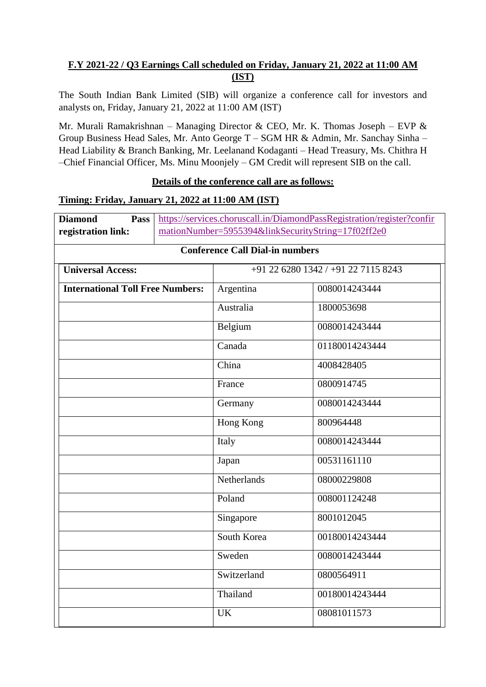## **F.Y 2021-22 / Q3 Earnings Call scheduled on Friday, January 21, 2022 at 11:00 AM (IST)**

The South Indian Bank Limited (SIB) will organize a conference call for investors and analysts on, Friday, January 21, 2022 at 11:00 AM (IST)

Mr. Murali Ramakrishnan – Managing Director & CEO, Mr. K. Thomas Joseph – EVP  $\&$ Group Business Head Sales, Mr. Anto George T – SGM HR & Admin, Mr. Sanchay Sinha – Head Liability & Branch Banking, Mr. Leelanand Kodaganti – Head Treasury, Ms. Chithra H –Chief Financial Officer, Ms. Minu Moonjely – GM Credit will represent SIB on the call.

### **Details of the conference call are as follows:**

## **Timing: Friday, January 21, 2022 at 11:00 AM (IST)**

| <b>Diamond</b><br><b>Pass</b>           |  | https://services.choruscall.in/DiamondPassRegistration/register?confir |                |  |  |  |  |
|-----------------------------------------|--|------------------------------------------------------------------------|----------------|--|--|--|--|
| registration link:                      |  | mationNumber=5955394&linkSecurityString=17f02ff2e0                     |                |  |  |  |  |
| <b>Conference Call Dial-in numbers</b>  |  |                                                                        |                |  |  |  |  |
| <b>Universal Access:</b>                |  | +91 22 6280 1342 / +91 22 7115 8243                                    |                |  |  |  |  |
| <b>International Toll Free Numbers:</b> |  | Argentina                                                              | 0080014243444  |  |  |  |  |
|                                         |  | Australia                                                              | 1800053698     |  |  |  |  |
|                                         |  | Belgium                                                                | 0080014243444  |  |  |  |  |
|                                         |  | Canada                                                                 | 01180014243444 |  |  |  |  |
|                                         |  | China                                                                  | 4008428405     |  |  |  |  |
|                                         |  | France                                                                 | 0800914745     |  |  |  |  |
|                                         |  | Germany                                                                | 0080014243444  |  |  |  |  |
|                                         |  | <b>Hong Kong</b>                                                       | 800964448      |  |  |  |  |
|                                         |  | Italy                                                                  | 0080014243444  |  |  |  |  |
|                                         |  | Japan                                                                  | 00531161110    |  |  |  |  |
|                                         |  | Netherlands                                                            | 08000229808    |  |  |  |  |
|                                         |  | Poland                                                                 | 008001124248   |  |  |  |  |
|                                         |  | Singapore                                                              | 8001012045     |  |  |  |  |
|                                         |  | South Korea                                                            | 00180014243444 |  |  |  |  |
|                                         |  | Sweden                                                                 | 0080014243444  |  |  |  |  |
|                                         |  | Switzerland                                                            | 0800564911     |  |  |  |  |
|                                         |  | Thailand                                                               | 00180014243444 |  |  |  |  |
|                                         |  | <b>UK</b>                                                              | 08081011573    |  |  |  |  |